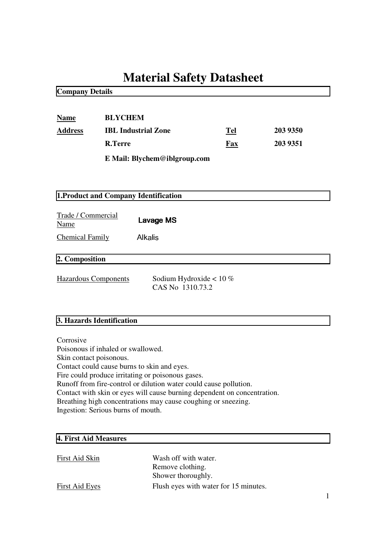# **Material Safety Datasheet**

**Company Details**

| <b>Name</b> | <b>BLYCHEM</b>               |     |          |
|-------------|------------------------------|-----|----------|
| Address     | <b>IBL</b> Industrial Zone   | Tel | 203 9350 |
|             | <b>R.Terre</b>               | Fax | 203 9351 |
|             | E Mail: Blychem@iblgroup.com |     |          |

# **1.Product and Company Identification**

| Trade / Commercial<br>Name | Lavage MS |  |
|----------------------------|-----------|--|
| <b>Chemical Family</b>     | Alkalis   |  |

# **2. Composition**

Hazardous Components Sodium Hydroxide < 10 %

CAS No 1310.73.2

# **3. Hazards Identification**

Corrosive Poisonous if inhaled or swallowed. Skin contact poisonous. Contact could cause burns to skin and eyes. Fire could produce irritating or poisonous gases. Runoff from fire-control or dilution water could cause pollution. Contact with skin or eyes will cause burning dependent on concentration. Breathing high concentrations may cause coughing or sneezing. Ingestion: Serious burns of mouth.

## **4. First Aid Measures**

| First Aid Skin | Wash off with water.                  |
|----------------|---------------------------------------|
|                | Remove clothing.                      |
|                | Shower thoroughly.                    |
| First Aid Eyes | Flush eyes with water for 15 minutes. |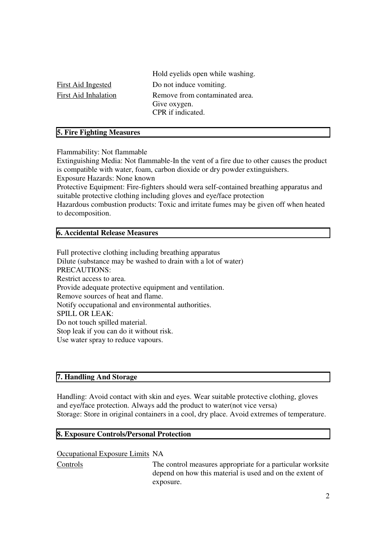Hold eyelids open while washing. First Aid Ingested Do not induce vomiting. First Aid Inhalation Remove from contaminated area. Give oxygen. CPR if indicated.

## **5. Fire Fighting Measures**

Flammability: Not flammable

Extinguishing Media: Not flammable-In the vent of a fire due to other causes the product is compatible with water, foam, carbon dioxide or dry powder extinguishers.

Exposure Hazards: None known

Protective Equipment: Fire-fighters should wera self-contained breathing apparatus and suitable protective clothing including gloves and eye/face protection

Hazardous combustion products: Toxic and irritate fumes may be given off when heated to decomposition.

## **6. Accidental Release Measures**

Full protective clothing including breathing apparatus Dilute (substance may be washed to drain with a lot of water) PRECAUTIONS: Restrict access to area. Provide adequate protective equipment and ventilation. Remove sources of heat and flame. Notify occupational and environmental authorities. SPILL OR LEAK: Do not touch spilled material. Stop leak if you can do it without risk. Use water spray to reduce vapours.

## **7. Handling And Storage**

Handling: Avoid contact with skin and eyes. Wear suitable protective clothing, gloves and eye/face protection. Always add the product to water(not vice versa) Storage: Store in original containers in a cool, dry place. Avoid extremes of temperature.

#### **8. Exposure Controls/Personal Protection**

#### Occupational Exposure Limits NA

Controls The control measures appropriate for a particular worksite depend on how this material is used and on the extent of exposure.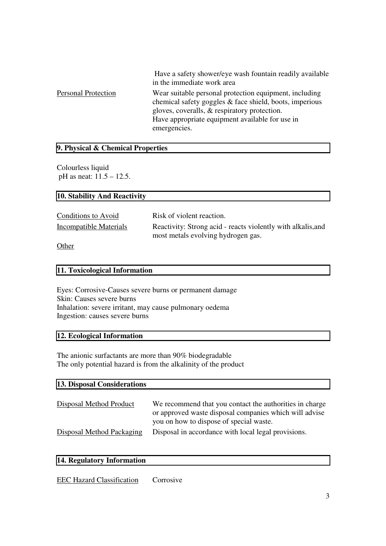|                            | Have a safety shower/eye wash fountain readily available<br>in the immediate work area                                                                                                                                               |
|----------------------------|--------------------------------------------------------------------------------------------------------------------------------------------------------------------------------------------------------------------------------------|
| <b>Personal Protection</b> | Wear suitable personal protection equipment, including<br>chemical safety goggles & face shield, boots, imperious<br>gloves, coveralls, & respiratory protection.<br>Have appropriate equipment available for use in<br>emergencies. |

# **9. Physical & Chemical Properties**

Colourless liquid pH as neat: 11.5 – 12.5.

# **10. Stability And Reactivity**

| Conditions to Avoid    | Risk of violent reaction.                                                                          |
|------------------------|----------------------------------------------------------------------------------------------------|
| Incompatible Materials | Reactivity: Strong acid - reacts violently with alkalis, and<br>most metals evolving hydrogen gas. |
| $\sim$ $\cdot$         |                                                                                                    |

**Other** 

#### **11. Toxicological Information**

Eyes: Corrosive-Causes severe burns or permanent damage Skin: Causes severe burns Inhalation: severe irritant, may cause pulmonary oedema Ingestion: causes severe burns

## **12. Ecological Information**

The anionic surfactants are more than 90% biodegradable The only potential hazard is from the alkalinity of the product

| 13. Disposal Considerations      |                                                                                                                                                              |  |
|----------------------------------|--------------------------------------------------------------------------------------------------------------------------------------------------------------|--|
| Disposal Method Product          | We recommend that you contact the authorities in charge<br>or approved waste disposal companies which will advise<br>you on how to dispose of special waste. |  |
| <b>Disposal Method Packaging</b> | Disposal in accordance with local legal provisions.                                                                                                          |  |

## **14. Regulatory Information**

EEC Hazard Classification Corrosive